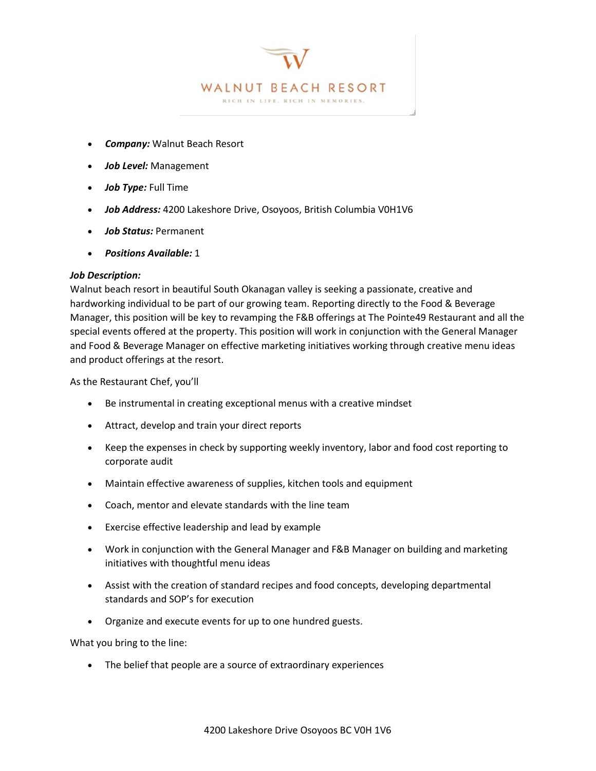

J

- *Company:* Walnut Beach Resort
- *Job Level:* Management
- *Job Type:* Full Time
- *Job Address:* 4200 Lakeshore Drive, Osoyoos, British Columbia V0H1V6
- *Job Status:* Permanent
- *Positions Available:* 1

# *Job Description:*

Walnut beach resort in beautiful South Okanagan valley is seeking a passionate, creative and hardworking individual to be part of our growing team. Reporting directly to the Food & Beverage Manager, this position will be key to revamping the F&B offerings at The Pointe49 Restaurant and all the special events offered at the property. This position will work in conjunction with the General Manager and Food & Beverage Manager on effective marketing initiatives working through creative menu ideas and product offerings at the resort.

As the Restaurant Chef, you'll

- Be instrumental in creating exceptional menus with a creative mindset
- Attract, develop and train your direct reports
- Keep the expenses in check by supporting weekly inventory, labor and food cost reporting to corporate audit
- Maintain effective awareness of supplies, kitchen tools and equipment
- Coach, mentor and elevate standards with the line team
- Exercise effective leadership and lead by example
- Work in conjunction with the General Manager and F&B Manager on building and marketing initiatives with thoughtful menu ideas
- Assist with the creation of standard recipes and food concepts, developing departmental standards and SOP's for execution
- Organize and execute events for up to one hundred guests.

What you bring to the line:

• The belief that people are a source of extraordinary experiences